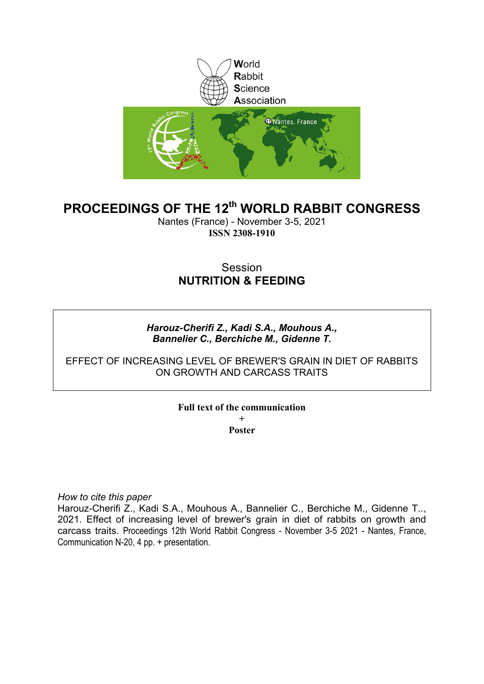

## **PROCEEDINGS OF THE 12th WORLD RABBIT CONGRESS**

Nantes (France) - November 3-5, 2021 **ISSN 2308-1910**

### Session **NUTRITION & FEEDING**

#### *Harouz-Cherifi Z., Kadi S.A., Mouhous A., Bannelier C., Berchiche M., Gidenne T.*

#### EFFECT OF INCREASING LEVEL OF BREWER'S GRAIN IN DIET OF RABBITS ON GROWTH AND CARCASS TRAITS

#### **Full text of the communication + Poster**

*How to cite this paper*

Harouz-Cherifi Z., Kadi S.A., Mouhous A., Bannelier C., Berchiche M., Gidenne T.., 2021. Effect of increasing level of brewer's grain in diet of rabbits on growth and carcass traits. Proceedings 12th World Rabbit Congress - November 3-5 2021 - Nantes, France, Communication N-20, 4 pp. + presentation.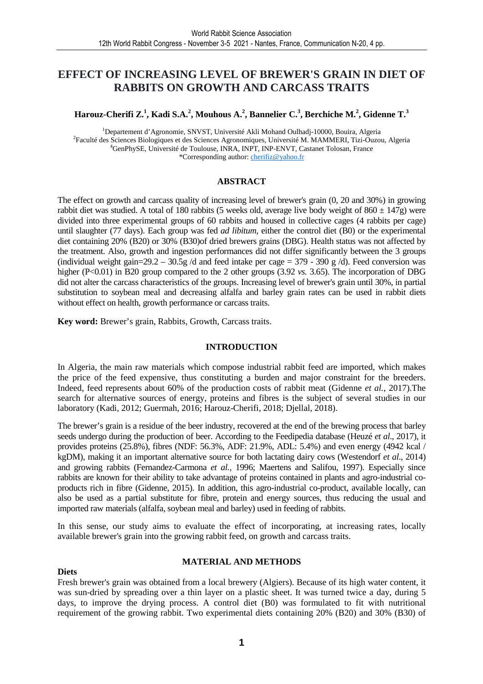#### **EFFECT OF INCREASING LEVEL OF BREWER'S GRAIN IN DIET OF RABBITS ON GROWTH AND CARCASS TRAITS**

#### **Harouz-Cherifi Z.<sup>1</sup> , Kadi S.A.<sup>2</sup> , Mouhous A.<sup>2</sup> , Bannelier C.<sup>3</sup> , Berchiche M.<sup>2</sup> , Gidenne T.<sup>3</sup>**

<sup>1</sup>Departement d'Agronomie, SNVST, Université Akli Mohand Oulhadj-10000, Bouira, Algeria 2 Faculté des Sciences Biologiques et des Sciences Agronomiques, Université M. MAMMERI, Tizi-Ouzou, Algeria <sup>4</sup>GenPhySE, Université de Toulouse, INRA, INPT, INP-ENVT, Castanet Tolosan, France \*Corresponding author: cherifiz@yahoo.fr

#### **ABSTRACT**

The effect on growth and carcass quality of increasing level of brewer's grain (0, 20 and 30%) in growing rabbit diet was studied. A total of 180 rabbits (5 weeks old, average live body weight of  $860 \pm 147$ g) were divided into three experimental groups of 60 rabbits and housed in collective cages (4 rabbits per cage) until slaughter (77 days). Each group was fed *ad libitum*, either the control diet (B0) or the experimental diet containing 20% (B20) or 30% (B30)of dried brewers grains (DBG). Health status was not affected by the treatment. Also, growth and ingestion performances did not differ significantly between the 3 groups (individual weight gain=29.2 – 30.5g /d and feed intake per cage = 379 - 390 g /d). Feed conversion was higher (P<0.01) in B20 group compared to the 2 other groups (3.92 *vs.* 3.65). The incorporation of DBG did not alter the carcass characteristics of the groups. Increasing level of brewer's grain until 30%, in partial substitution to soybean meal and decreasing alfalfa and barley grain rates can be used in rabbit diets without effect on health, growth performance or carcass traits.

**Key word:** Brewer's grain, Rabbits, Growth, Carcass traits.

#### **INTRODUCTION**

In Algeria, the main raw materials which compose industrial rabbit feed are imported, which makes the price of the feed expensive, thus constituting a burden and major constraint for the breeders. Indeed, feed represents about 60% of the production costs of rabbit meat (Gidenne *et al.,* 2017).The search for alternative sources of energy, proteins and fibres is the subject of several studies in our laboratory (Kadi, 2012; Guermah, 2016; Harouz-Cherifi, 2018; Djellal, 2018).

The brewer's grain is a residue of the beer industry, recovered at the end of the brewing process that barley seeds undergo during the production of beer. According to the Feedipedia database (Heuzé *et al*., 2017), it provides proteins (25.8%), fibres (NDF: 56.3%, ADF: 21.9%, ADL: 5.4%) and even energy (4942 kcal / kgDM), making it an important alternative source for both lactating dairy cows (Westendorf *et al*., 2014) and growing rabbits (Fernandez-Carmona *et al.,* 1996; Maertens and Salifou, 1997). Especially since rabbits are known for their ability to take advantage of proteins contained in plants and agro-industrial coproducts rich in fibre (Gidenne, 2015). In addition, this agro-industrial co-product, available locally, can also be used as a partial substitute for fibre, protein and energy sources, thus reducing the usual and imported raw materials (alfalfa, soybean meal and barley) used in feeding of rabbits.

In this sense, our study aims to evaluate the effect of incorporating, at increasing rates, locally available brewer's grain into the growing rabbit feed, on growth and carcass traits.

#### **MATERIAL AND METHODS**

#### **Diets**

Fresh brewer's grain was obtained from a local brewery (Algiers). Because of its high water content, it was sun-dried by spreading over a thin layer on a plastic sheet. It was turned twice a day, during 5 days, to improve the drying process. A control diet (B0) was formulated to fit with nutritional requirement of the growing rabbit. Two experimental diets containing 20% (B20) and 30% (B30) of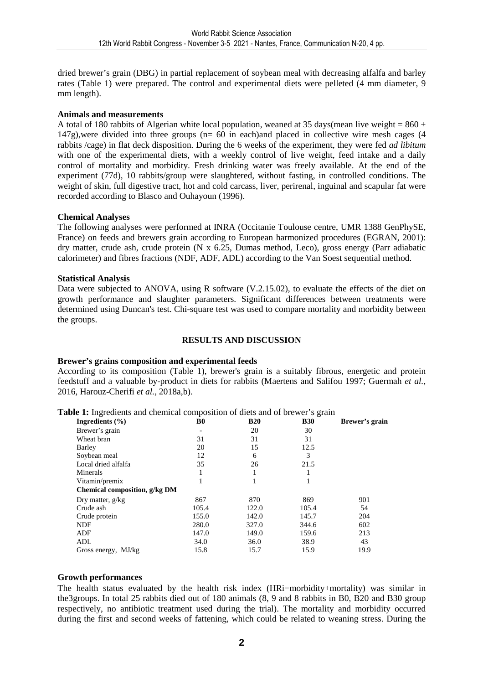dried brewer's grain (DBG) in partial replacement of soybean meal with decreasing alfalfa and barley rates (Table 1) were prepared. The control and experimental diets were pelleted (4 mm diameter, 9 mm length).

#### **Animals and measurements**

A total of 180 rabbits of Algerian white local population, weaned at 35 days(mean live weight =  $860 \pm$  $147g$ ), were divided into three groups ( $n=60$  in each)and placed in collective wire mesh cages (4 rabbits /cage) in flat deck disposition. During the 6 weeks of the experiment, they were fed *ad libitum*  with one of the experimental diets, with a weekly control of live weight, feed intake and a daily control of mortality and morbidity. Fresh drinking water was freely available. At the end of the experiment (77d), 10 rabbits/group were slaughtered, without fasting, in controlled conditions. The weight of skin, full digestive tract, hot and cold carcass, liver, perirenal, inguinal and scapular fat were recorded according to Blasco and Ouhayoun (1996).

#### **Chemical Analyses**

The following analyses were performed at INRA (Occitanie Toulouse centre, UMR 1388 GenPhySE, France) on feeds and brewers grain according to European harmonized procedures (EGRAN, 2001): dry matter, crude ash, crude protein (N x 6.25, Dumas method, Leco), gross energy (Parr adiabatic calorimeter) and fibres fractions (NDF, ADF, ADL) according to the Van Soest sequential method.

#### **Statistical Analysis**

Data were subjected to ANOVA, using R software (V.2.15.02), to evaluate the effects of the diet on growth performance and slaughter parameters. Significant differences between treatments were determined using Duncan's test. Chi-square test was used to compare mortality and morbidity between the groups.

#### **RESULTS AND DISCUSSION**

#### **Brewer's grains composition and experimental feeds**

According to its composition (Table 1), brewer's grain is a suitably fibrous, energetic and protein feedstuff and a valuable by-product in diets for rabbits (Maertens and Salifou 1997; Guermah *et al.,* 2016, Harouz-Cherifi *et al.,* 2018a,b).

| Ingredients $(\% )$           | B0                       | <b>B20</b> | <b>B30</b> | Brewer's grain |
|-------------------------------|--------------------------|------------|------------|----------------|
| Brewer's grain                | $\overline{\phantom{a}}$ | 20         | 30         |                |
| Wheat bran                    | 31                       | 31         | 31         |                |
| Barley                        | 20                       | 15         | 12.5       |                |
| Soybean meal                  | 12                       | 6          | 3          |                |
| Local dried alfalfa           | 35                       | 26         | 21.5       |                |
| Minerals                      |                          |            |            |                |
| Vitamin/premix                |                          |            |            |                |
| Chemical composition, g/kg DM |                          |            |            |                |
| Dry matter, $g/kg$            | 867                      | 870        | 869        | 901            |
| Crude ash                     | 105.4                    | 122.0      | 105.4      | 54             |
| Crude protein                 | 155.0                    | 142.0      | 145.7      | 204            |
| <b>NDF</b>                    | 280.0                    | 327.0      | 344.6      | 602            |
| ADF                           | 147.0                    | 149.0      | 159.6      | 213            |
| ADL                           | 34.0                     | 36.0       | 38.9       | 43             |
| Gross energy, MJ/kg           | 15.8                     | 15.7       | 15.9       | 19.9           |

**Table 1:** Ingredients and chemical composition of diets and of brewer's grain

#### **Growth performances**

The health status evaluated by the health risk index (HRi=morbidity+mortality) was similar in the3groups. In total 25 rabbits died out of 180 animals (8, 9 and 8 rabbits in B0, B20 and B30 group respectively, no antibiotic treatment used during the trial). The mortality and morbidity occurred during the first and second weeks of fattening, which could be related to weaning stress. During the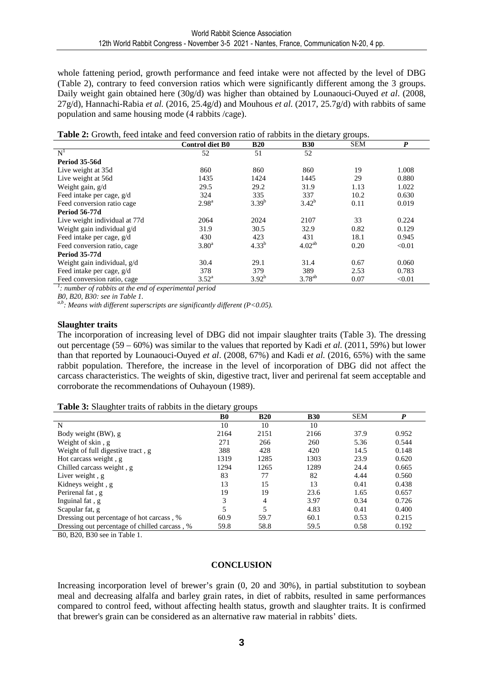whole fattening period, growth performance and feed intake were not affected by the level of DBG (Table 2), contrary to feed conversion ratios which were significantly different among the 3 groups. Daily weight gain obtained here (30g/d) was higher than obtained by Lounaouci-Ouyed *et al*. (2008, 27g/d), Hannachi-Rabia *et al.* (2016, 25.4g/d) and Mouhous *et al.* (2017, 25.7g/d) with rabbits of same population and same housing mode (4 rabbits /cage).

|  |  | Table 2: Growth, feed intake and feed conversion ratio of rabbits in the dietary groups. |
|--|--|------------------------------------------------------------------------------------------|
|  |  |                                                                                          |

|                               | <b>Control diet B0</b> | <b>B20</b> | <b>B30</b>         | <b>SEM</b> | $\boldsymbol{P}$ |
|-------------------------------|------------------------|------------|--------------------|------------|------------------|
| N <sup>1</sup>                | 52                     | 51         | 52                 |            |                  |
| <b>Period 35-56d</b>          |                        |            |                    |            |                  |
| Live weight at 35d            | 860                    | 860        | 860                | 19         | 1.008            |
| Live weight at 56d            | 1435                   | 1424       | 1445               | 29         | 0.880            |
| Weight gain, g/d              | 29.5                   | 29.2       | 31.9               | 1.13       | 1.022            |
| Feed intake per cage, g/d     | 324                    | 335        | 337                | 10.2       | 0.630            |
| Feed conversion ratio cage    | $2.98^{\rm a}$         | $3.39^{b}$ | $3.42^{b}$         | 0.11       | 0.019            |
| <b>Period 56-77d</b>          |                        |            |                    |            |                  |
| Live weight individual at 77d | 2064                   | 2024       | 2107               | 33         | 0.224            |
| Weight gain individual g/d    | 31.9                   | 30.5       | 32.9               | 0.82       | 0.129            |
| Feed intake per cage, g/d     | 430                    | 423        | 431                | 18.1       | 0.945            |
| Feed conversion ratio, cage   | $3.80^{\rm a}$         | $4.33^{b}$ | 4.02 <sup>ab</sup> | 0.20       | < 0.01           |
| <b>Period 35-77d</b>          |                        |            |                    |            |                  |
| Weight gain individual, g/d   | 30.4                   | 29.1       | 31.4               | 0.67       | 0.060            |
| Feed intake per cage, g/d     | 378                    | 379        | 389                | 2.53       | 0.783            |
| Feed conversion ratio, cage   | $3.52^{\rm a}$         | $3.92^{b}$ | $3.78^{ab}$        | 0.07       | < 0.01           |

*1 : number of rabbits at the end of experimental period* 

*B0, B20, B30: see in Table 1.* 

*a,b: Means with different superscripts are significantly different (P<0.05).*

#### **Slaughter traits**

The incorporation of increasing level of DBG did not impair slaughter traits (Table 3). The dressing out percentage (59 – 60%) was similar to the values that reported by Kadi *et al.* (2011, 59%) but lower than that reported by Lounaouci-Ouyed *et al*. (2008, 67%) and Kadi e*t al.* (2016, 65%) with the same rabbit population. Therefore, the increase in the level of incorporation of DBG did not affect the carcass characteristics. The weights of skin, digestive tract, liver and perirenal fat seem acceptable and corroborate the recommendations of Ouhayoun (1989).

#### **Table 3:** Slaughter traits of rabbits in the dietary groups

|                                               | B0   | <b>B20</b>     | <b>B30</b> | <b>SEM</b> | P     |
|-----------------------------------------------|------|----------------|------------|------------|-------|
| N                                             | 10   | 10             | 10         |            |       |
| Body weight (BW), g                           | 2164 | 2151           | 2166       | 37.9       | 0.952 |
| Weight of skin, g                             | 271  | 266            | 260        | 5.36       | 0.544 |
| Weight of full digestive tract, g             | 388  | 428            | 420        | 14.5       | 0.148 |
| Hot carcass weight, g                         | 1319 | 1285           | 1303       | 23.9       | 0.620 |
| Chilled carcass weight, g                     | 1294 | 1265           | 1289       | 24.4       | 0.665 |
| Liver weight, g                               | 83   | 77             | 82         | 4.44       | 0.560 |
| Kidneys weight, g                             | 13   | 15             | 13         | 0.41       | 0.438 |
| Perirenal fat, g                              | 19   | 19             | 23.6       | 1.65       | 0.657 |
| Inguinal fat, g                               | 3    | $\overline{4}$ | 3.97       | 0.34       | 0.726 |
| Scapular fat, g                               | 5    | 5              | 4.83       | 0.41       | 0.400 |
| Dressing out percentage of hot carcass, %     | 60.9 | 59.7           | 60.1       | 0.53       | 0.215 |
| Dressing out percentage of chilled carcass, % | 59.8 | 58.8           | 59.5       | 0.58       | 0.192 |

B0, B20, B30 see in Table 1.

#### **CONCLUSION**

Increasing incorporation level of brewer's grain (0, 20 and 30%), in partial substitution to soybean meal and decreasing alfalfa and barley grain rates, in diet of rabbits, resulted in same performances compared to control feed, without affecting health status, growth and slaughter traits. It is confirmed that brewer's grain can be considered as an alternative raw material in rabbits' diets.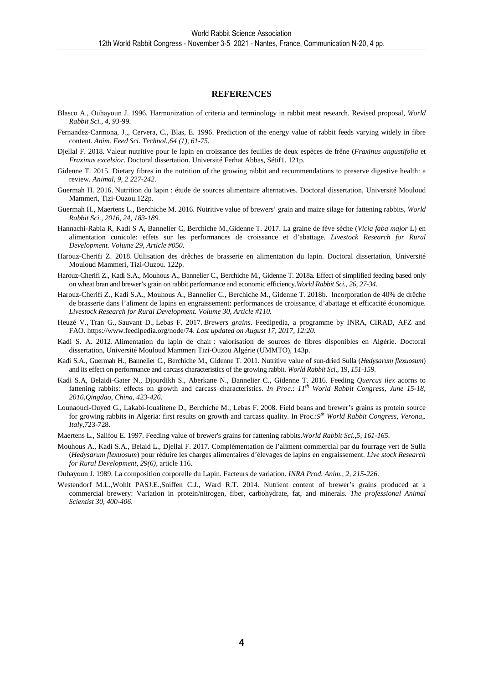#### **REFERENCES**

- Blasco A., Ouhayoun J. 1996. Harmonization of criteria and terminology in rabbit meat research. Revised proposal*, World Rabbit Sci., 4, 93-*99.
- Fernandez-Carmona, J.,, Cervera, C., Blas, E. 1996. Prediction of the energy value of rabbit feeds varying widely in fibre content. *Anim. Feed Sci. Technol.,64 (1), 61-75.*
- Djellal F. 2018. Valeur nutritive pour le lapin en croissance des feuilles de deux espèces de frêne (*Fraxinus angustifolia* et *Fraxinus excelsior*. Doctoral dissertation. Université Ferhat Abbas, Sétif1. 121p.
- Gidenne T. 2015. Dietary fibres in the nutrition of the growing rabbit and recommendations to preserve digestive health: a review. *Animal*, *9, 2 227-242.*
- Guermah H. 2016. Nutrition du lapin : étude de sources alimentaire alternatives. Doctoral dissertation, Université Mouloud Mammeri, Tizi-Ouzou.122p.
- Guermah H., Maertens L., Berchiche M. 2016. Nutritive value of brewers' grain and maize silage for fattening rabbits, *World Rabbit Sci., 2016, 24, 183-189.*
- Hannachi-Rabia R, Kadi S A, Bannelier C, Berchiche M.,Gidenne T. 2017. La graine de fève sèche (*Vicia faba major* L) en alimentation cunicole: effets sur les performances de croissance et d'abattage*. Livestock Research for Rural Development. Volume 29, Article #050.*
- Harouz-Cherifi Z. 2018. Utilisation des drêches de brasserie en alimentation du lapin. Doctoral dissertation, Université Mouloud Mammeri, Tizi-Ouzou. 122p.
- Harouz-Cherifi Z., Kadi S.A., Mouhous A., Bannelier C., Berchiche M., Gidenne T. 2018a. Effect of simplified feeding based only on wheat bran and brewer's grain on rabbit performance and economic efficiency.*World Rabbit Sci., 26, 27-34.*
- Harouz-Cherifi Z., Kadi S.A., Mouhous A., Bannelier C., Berchiche M., Gidenne T. 2018b. Incorporation de 40% de drêche de brasserie dans l'aliment de lapins en engraissement: performances de croissance, d'abattage et efficacité économique. *Livestock Research for Rural Development. Volume 30, Article #110.*
- Heuzé V., Tran G., Sauvant D., Lebas F. 2017. *Brewers grains*. Feedipedia, a programme by INRA, CIRAD, AFZ and FAO. https://www.feedipedia.org/node/74. *Last updated on August 17, 2017, 12:20.*
- Kadi S. A. 2012. Alimentation du lapin de chair : valorisation de sources de fibres disponibles en Algérie. Doctoral dissertation, Université Mouloud Mammeri Tizi-Ouzou Algérie (UMMTO), 143p.
- Kadi S.A., Guermah H., Bannelier C., Berchiche M., Gidenne T. 2011. Nutritive value of sun-dried Sulla (*Hedysarum flexuosum*) and its effect on performance and carcass characteristics of the growing rabbit. *World Rabbit Sci*., 19*, 151-159*.
- Kadi S.A, Belaidi-Gater N., Djourdikh S., Aberkane N., Bannelier C., Gidenne T. 2016. Feeding *Quercus ilex* acorns to fattening rabbits: effects on growth and carcass characteristics. *In Proc*.: *11th World Rabbit Congress, June 15-18, 2016,Qingdao, China, 423-426.*
- Lounaouci-Ouyed G., Lakabi-Ioualitene D., Berchiche M., Lebas F. 2008. Field beans and brewer's grains as protein source for growing rabbits in Algeria: first results on growth and carcass quality. In Proc.:*9 th World Rabbit Congress, Verona,. Italy*,723-728.
- Maertens L., Salifou E. 1997. Feeding value of brewer's grains for fattening rabbits.*World Rabbit Sci.*,*5, 161-165.*
- Mouhous A., Kadi S.A., Belaid L., Djellal F. 2017. Complémentation de l'aliment commercial par du fourrage vert de Sulla (*Hedysarum flexuosum*) pour réduire les charges alimentaires d'élevages de lapins en engraissement. *Live stock Research for Rural Development, 29(6),* article 116.
- Ouhayoun J. 1989. La composition corporelle du Lapin. Facteurs de variation*. INRA Prod. Anim., 2, 215-226*.
- Westendorf M.L.,Wohlt PASJ.E.,Sniffen C.J., Ward R.T. 2014. Nutrient content of brewer's grains produced at a commercial brewery: Variation in protein/nitrogen, fiber, carbohydrate, fat, and minerals. *The professional Animal Scientist 30, 400-406.*